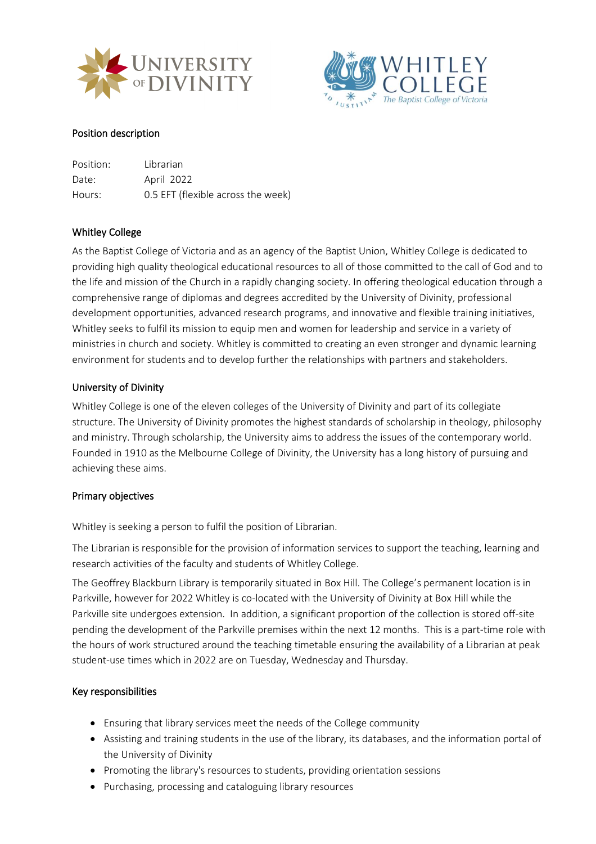



## Position description

| Position: | Librarian                          |
|-----------|------------------------------------|
| Date:     | April 2022                         |
| Hours:    | 0.5 EFT (flexible across the week) |

## Whitley College

As the Baptist College of Victoria and as an agency of the Baptist Union, Whitley College is dedicated to providing high quality theological educational resources to all of those committed to the call of God and to the life and mission of the Church in a rapidly changing society. In offering theological education through a comprehensive range of diplomas and degrees accredited by the University of Divinity, professional development opportunities, advanced research programs, and innovative and flexible training initiatives, Whitley seeks to fulfil its mission to equip men and women for leadership and service in a variety of ministries in church and society. Whitley is committed to creating an even stronger and dynamic learning environment for students and to develop further the relationships with partners and stakeholders.

### University of Divinity

Whitley College is one of the eleven colleges of the University of Divinity and part of its collegiate structure. The University of Divinity promotes the highest standards of scholarship in theology, philosophy and ministry. Through scholarship, the University aims to address the issues of the contemporary world. Founded in 1910 as the Melbourne College of Divinity, the University has a long history of pursuing and achieving these aims.

#### Primary objectives

Whitley is seeking a person to fulfil the position of Librarian.

The Librarian is responsible for the provision of information services to support the teaching, learning and research activities of the faculty and students of Whitley College.

The Geoffrey Blackburn Library is temporarily situated in Box Hill. The College's permanent location is in Parkville, however for 2022 Whitley is co-located with the University of Divinity at Box Hill while the Parkville site undergoes extension. In addition, a significant proportion of the collection is stored off-site pending the development of the Parkville premises within the next 12 months. This is a part-time role with the hours of work structured around the teaching timetable ensuring the availability of a Librarian at peak student-use times which in 2022 are on Tuesday, Wednesday and Thursday.

## Key responsibilities

- Ensuring that library services meet the needs of the College community
- Assisting and training students in the use of the library, its databases, and the information portal of the University of Divinity
- Promoting the library's resources to students, providing orientation sessions
- Purchasing, processing and cataloguing library resources